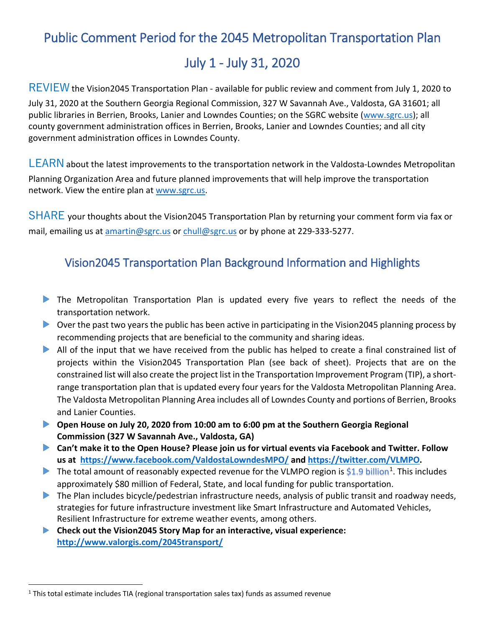# Public Comment Period for the 2045 Metropolitan Transportation Plan

## July 1 - July 31, 2020

REVIEW the Vision2045 Transportation Plan - available for public review and comment from July 1, 2020 to July 31, 2020 at the Southern Georgia Regional Commission, 327 W Savannah Ave., Valdosta, GA 31601; all public libraries in Berrien, Brooks, Lanier and Lowndes Counties; on the SGRC website [\(www.sgrc.us\)](http://www.sgrc.us/); all county government administration offices in Berrien, Brooks, Lanier and Lowndes Counties; and all city government administration offices in Lowndes County.

LEARN about the latest improvements to the transportation network in the Valdosta-Lowndes Metropolitan Planning Organization Area and future planned improvements that will help improve the transportation network. View the entire plan at [www.sgrc.us.](http://www.sgrc.us/)

SHARE your thoughts about the Vision2045 Transportation Plan by returning your comment form via fax or mail, emailing us at [amartin@sgrc.us](mailto:amartin@sgrc.us) or [chull@sgrc.us](mailto:chull@sgrc.us) or by phone at 229-333-5277.

## Vision2045 Transportation Plan Background Information and Highlights

- The Metropolitan Transportation Plan is updated every five years to reflect the needs of the transportation network.
- ▶ Over the past two years the public has been active in participating in the Vision2045 planning process by recommending projects that are beneficial to the community and sharing ideas.
- All of the input that we have received from the public has helped to create a final constrained list of projects within the Vision2045 Transportation Plan (see back of sheet). Projects that are on the constrained list will also create the project list in the Transportation Improvement Program (TIP), a shortrange transportation plan that is updated every four years for the Valdosta Metropolitan Planning Area. The Valdosta Metropolitan Planning Area includes all of Lowndes County and portions of Berrien, Brooks and Lanier Counties.
- **Open House on July 20, 2020 from 10:00 am to 6:00 pm at the Southern Georgia Regional Commission (327 W Savannah Ave., Valdosta, GA)**
- **Can't make it to the Open House? Please join us for virtual events via Facebook and Twitter. Follow us at <https://www.facebook.com/ValdostaLowndesMPO/> and [https://twitter.com/VLMPO.](https://twitter.com/VLMPO)**
- The total amount of reasonably expected revenue for the VLMPO region is  $$1.9$  billion<sup>1</sup>. This includes approximately [\\$](#page-0-0)80 million of Federal, State, and local funding for public transportation.
- The Plan includes bicycle/pedestrian infrastructure needs, analysis of public transit and roadway needs, strategies for future infrastructure investment like Smart Infrastructure and Automated Vehicles, Resilient Infrastructure for extreme weather events, among others.
- **Check out the Vision2045 Story Map for an interactive, visual experience: <http://www.valorgis.com/2045transport/>**

<span id="page-0-0"></span> $1$  This total estimate includes TIA (regional transportation sales tax) funds as assumed revenue